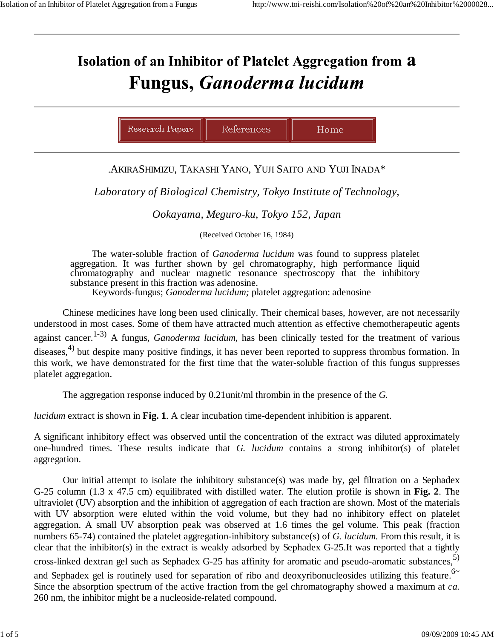## Isolation of an Inhibitor of Platelet Aggregation from a **Fungus, Ganoderma lucidum**

| Research Papers<br>ences |  |
|--------------------------|--|
|--------------------------|--|

## .AKIRASHIMIZU, TAKASHI YANO, YUJI SAITO AND YUJI INADA\*

*Laboratory of Biological Chemistry, Tokyo Institute of Technology,*

*Ookayama, Meguro-ku, Tokyo 152, Japan*

(Received October 16, 1984)

The water-soluble fraction of *Ganoderma lucidum* was found to suppress platelet aggregation. It was further shown by gel chromatography, high performance liquid chromatography and nuclear magnetic resonance spectroscopy that the inhibitory substance present in this fraction was adenosine.

Keywords-fungus; *Ganoderma lucidum;* platelet aggregation: adenosine

Chinese medicines have long been used clinically. Their chemical bases, however, are not necessarily understood in most cases. Some of them have attracted much attention as effective chemotherapeutic agents against cancer.<sup>1-3)</sup> A fungus, *Ganoderma lucidum*, has been clinically tested for the treatment of various diseases,<sup>4)</sup> but despite many positive findings, it has never been reported to suppress thrombus formation. In this work, we have demonstrated for the first time that the water-soluble fraction of this fungus suppresses platelet aggregation.

The aggregation response induced by 0.21unit/ml thrombin in the presence of the *G.*

*lucidum* extract is shown in **Fig. 1**. A clear incubation time-dependent inhibition is apparent.

A significant inhibitory effect was observed until the concentration of the extract was diluted approximately one-hundred times. These results indicate that *G. lucidum* contains a strong inhibitor(s) of platelet aggregation.

Our initial attempt to isolate the inhibitory substance(s) was made by, gel filtration on a Sephadex G-25 column (1.3 x 47.5 cm) equilibrated with distilled water. The elution profile is shown in **Fig. 2**. The ultraviolet (UV) absorption and the inhibition of aggregation of each fraction are shown. Most of the materials with UV absorption were eluted within the void volume, but they had no inhibitory effect on platelet aggregation. A small UV absorption peak was observed at 1.6 times the gel volume. This peak (fraction numbers 65-74) contained the platelet aggregation-inhibitory substance(s) of *G. lucidum*. From this result, it is clear that the inhibitor(s) in the extract is weakly adsorbed by Sephadex G-25.It was reported that a tightly cross-linked dextran gel such as Sephadex G-25 has affinity for aromatic and pseudo-aromatic substances.<sup>5)</sup> and Sephadex gel is routinely used for separation of ribo and deoxyribonucleosides utilizing this feature.<sup>6~</sup> Since the absorption spectrum of the active fraction from the gel chromatography showed a maximum at *ca.* 260 nm, the inhibitor might be a nucleoside-related compound.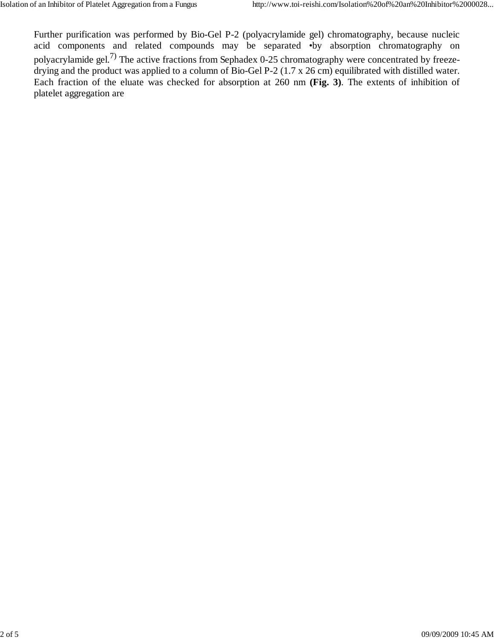Further purification was performed by Bio-Gel P-2 (polyacrylamide gel) chromatography, because nucleic acid components and related compounds may be separated •by absorption chromatography on polyacrylamide gel.<sup>7)</sup> The active fractions from Sephadex 0-25 chromatography were concentrated by freezedrying and the product was applied to a column of Bio-Gel P-2 (1.7 x 26 cm) equilibrated with distilled water. Each fraction of the eluate was checked for absorption at 260 nm **(Fig. 3)**. The extents of inhibition of platelet aggregation are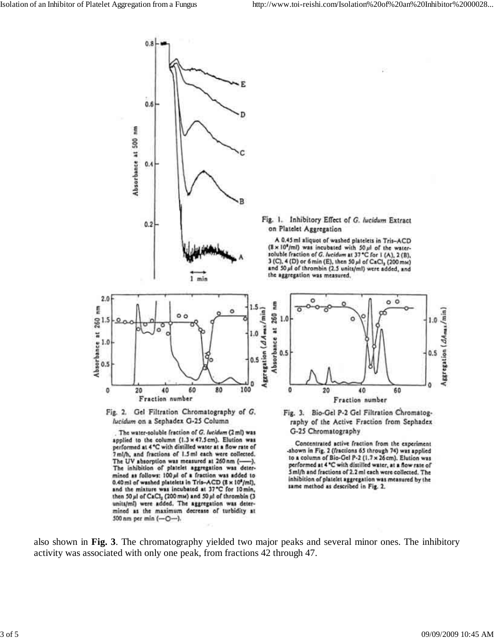

The water-soluble fraction of G. Incidum (2 ml) was applied to the column (1.3 x 47.5 cm). Elution was performed at 4 °C with distilled water at a flow rate of<br>7 ml/h, and fractions of 1.5 ml each were collected. The UV absorption was measured at 260 nm (-The inhibition of platelet aggregation was determined as follows: 100 ul of a fraction was added to 0.40 ml of washed platelets in Tris-ACD (8 x 10<sup>0</sup>/ml), and the mixture was incubated at 37°C for 10 min, then 50 ul of CaCl<sub>2</sub> (200 mm) and 50 ul of thrombin (3 units/ml) were added. The aggregation was determined as the maximum decrease of turbidity at 500 nm per min (-O-).

G-25 Chromatography Concentrated active fraction from the experiment -shown in Fig. 2 (fractions 65 through 74) was applied

to a column of Bio-Gel P-2 (1.7 x 26 cm). Elution was performed at 4 °C with distilled water, at a flow rate of<br>5 ml/h and fractions of 2.2 ml each were collected. The inhibition of platelet aggregation was measured by the same method as described in Fig. 2.

also shown in **Fig. 3**. The chromatography yielded two major peaks and several minor ones. The inhibitory activity was associated with only one peak, from fractions 42 through 47.

Aggregation (AAmas/min

 $1.0$ 

0.5

 $\Omega$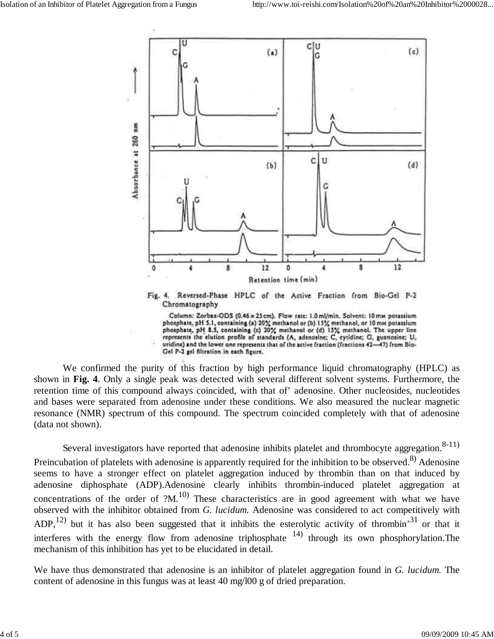

We confirmed the purity of this fraction by high performance liquid chromatography (HPLC) as shown in **Fig. 4**. Only a single peak was detected with several different solvent systems. Furthermore, the retention time of this compound always coincided, with that of' adenosine. Other nucleosides, nucleotides and bases were separated from adenosine under these conditions. We also measured the nuclear magnetic resonance (NMR) spectrum of this compound. The spectrum coincided completely with that of adenosine (data not shown).

Several investigators have reported that adenosine inhibits platelet and thrombocyte aggregation.  $8-11$ ) Preincubation of platelets with adenosine is apparently required for the inhibition to be observed.<sup>8)</sup> Adenosine seems to have a stronger effect on platelet aggregation induced by thrombin than on that induced by adenosine diphosphate (ADP).Adenosine clearly inhibits thrombin-induced platelet aggregation at concentrations of the order of  $?M<sup>10</sup>$ . These characteristics are in good agreement with what we have observed with the inhibitor obtained from *G. lucidum.* Adenosine was considered to act competitively with ADP,<sup>12)</sup> but it has also been suggested that it inhibits the esterolytic activity of thrombin<sup>31</sup> or that it interferes with the energy flow from adenosine triphosphate  $(14)$  through its own phosphorylation. The mechanism of this inhibition has yet to be elucidated in detail.

We have thus demonstrated that adenosine is an inhibitor of platelet aggregation found in *G. lucidum.* The content of adenosine in this fungus was at least 40 mg/l00 g of dried preparation.